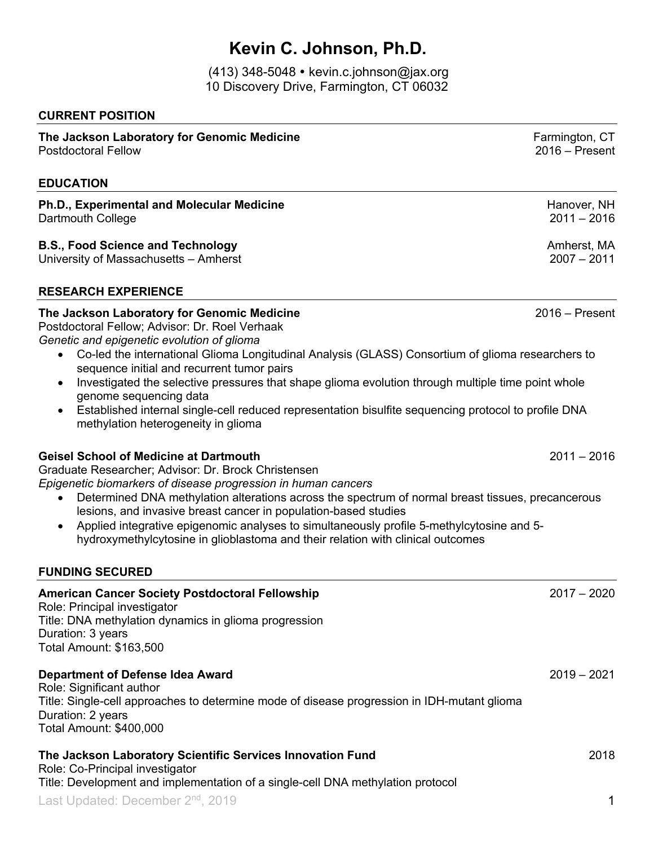# **Kevin C. Johnson, Ph.D.**

(413) 348-5048 kevin.c.johnson@jax.org 10 Discovery Drive, Farmington, CT 06032

#### **CURRENT POSITION**

## **The Jackson Laboratory for Genomic Medicine** Factor Controllery of Tarmington, CT Postdoctoral Fellow 2016 – Present **EDUCATION Ph.D., Experimental and Molecular Medicine** Hanover, NH Dartmouth College 2011 – 2016 **B.S., Food Science and Technology and Science and Technology and Science and Science Amherst, MA<br>University of Massachusetts – Amherst** University of Massachusetts – Amherst **RESEARCH EXPERIENCE The Jackson Laboratory for Genomic Medicine** 2016 – 2016 – Present Postdoctoral Fellow; Advisor: Dr. Roel Verhaak *Genetic and epigenetic evolution of glioma* • Co-led the international Glioma Longitudinal Analysis (GLASS) Consortium of glioma researchers to sequence initial and recurrent tumor pairs • Investigated the selective pressures that shape glioma evolution through multiple time point whole genome sequencing data • Established internal single-cell reduced representation bisulfite sequencing protocol to profile DNA methylation heterogeneity in glioma **Geisel School of Medicine at Dartmouth** 2011 – 2016 Graduate Researcher; Advisor: Dr. Brock Christensen *Epigenetic biomarkers of disease progression in human cancers*

- Determined DNA methylation alterations across the spectrum of normal breast tissues, precancerous lesions, and invasive breast cancer in population-based studies
- Applied integrative epigenomic analyses to simultaneously profile 5-methylcytosine and 5 hydroxymethylcytosine in glioblastoma and their relation with clinical outcomes

#### **FUNDING SECURED**

### Last Updated: December 2nd, 2019 1 **American Cancer Society Postdoctoral Fellowship** 2017 – 2020 Role: Principal investigator Title: DNA methylation dynamics in glioma progression Duration: 3 years Total Amount: \$163,500 **Department of Defense Idea Award** 2019 – 2021 Role: Significant author Title: Single-cell approaches to determine mode of disease progression in IDH-mutant glioma Duration: 2 years Total Amount: \$400,000 **The Jackson Laboratory Scientific Services Innovation Fund** 2018 Role: Co-Principal investigator Title: Development and implementation of a single-cell DNA methylation protocol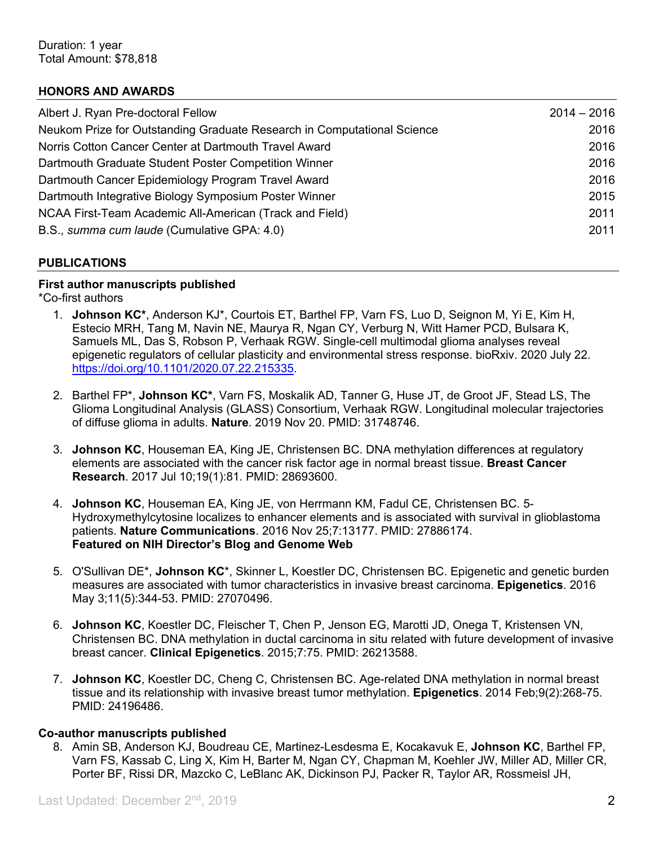#### **HONORS AND AWARDS**

| Albert J. Ryan Pre-doctoral Fellow                                      | $2014 - 2016$ |
|-------------------------------------------------------------------------|---------------|
| Neukom Prize for Outstanding Graduate Research in Computational Science | 2016          |
| Norris Cotton Cancer Center at Dartmouth Travel Award                   | 2016          |
| Dartmouth Graduate Student Poster Competition Winner                    | 2016          |
| Dartmouth Cancer Epidemiology Program Travel Award                      | 2016          |
| Dartmouth Integrative Biology Symposium Poster Winner                   | 2015          |
| NCAA First-Team Academic All-American (Track and Field)                 | 2011          |
| B.S., summa cum laude (Cumulative GPA: 4.0)                             | 2011          |

#### **PUBLICATIONS**

#### **First author manuscripts published**

\*Co-first authors

- 1. **Johnson KC\***, Anderson KJ\*, Courtois ET, Barthel FP, Varn FS, Luo D, Seignon M, Yi E, Kim H, Estecio MRH, Tang M, Navin NE, Maurya R, Ngan CY, Verburg N, Witt Hamer PCD, Bulsara K, Samuels ML, Das S, Robson P, Verhaak RGW. Single-cell multimodal glioma analyses reveal epigenetic regulators of cellular plasticity and environmental stress response. bioRxiv. 2020 July 22. https://doi.org/10.1101/2020.07.22.215335.
- 2. Barthel FP\*, **Johnson KC\***, Varn FS, Moskalik AD, Tanner G, Huse JT, de Groot JF, Stead LS, The Glioma Longitudinal Analysis (GLASS) Consortium, Verhaak RGW. Longitudinal molecular trajectories of diffuse glioma in adults. **Nature**. 2019 Nov 20. PMID: 31748746.
- 3. **Johnson KC**, Houseman EA, King JE, Christensen BC. DNA methylation differences at regulatory elements are associated with the cancer risk factor age in normal breast tissue. **Breast Cancer Research**. 2017 Jul 10;19(1):81. PMID: 28693600.
- 4. **Johnson KC**, Houseman EA, King JE, von Herrmann KM, Fadul CE, Christensen BC. 5- Hydroxymethylcytosine localizes to enhancer elements and is associated with survival in glioblastoma patients. **Nature Communications**. 2016 Nov 25;7:13177. PMID: 27886174. **Featured on NIH Director's Blog and Genome Web**
- 5. O'Sullivan DE\*, **Johnson KC**\*, Skinner L, Koestler DC, Christensen BC. Epigenetic and genetic burden measures are associated with tumor characteristics in invasive breast carcinoma. **Epigenetics**. 2016 May 3;11(5):344-53. PMID: 27070496.
- 6. **Johnson KC**, Koestler DC, Fleischer T, Chen P, Jenson EG, Marotti JD, Onega T, Kristensen VN, Christensen BC. DNA methylation in ductal carcinoma in situ related with future development of invasive breast cancer. **Clinical Epigenetics**. 2015;7:75. PMID: 26213588.
- 7. **Johnson KC**, Koestler DC, Cheng C, Christensen BC. Age-related DNA methylation in normal breast tissue and its relationship with invasive breast tumor methylation. **Epigenetics**. 2014 Feb;9(2):268-75. PMID: 24196486.

#### **Co-author manuscripts published**

8. Amin SB, Anderson KJ, Boudreau CE, Martinez-Lesdesma E, Kocakavuk E, **Johnson KC**, Barthel FP, Varn FS, Kassab C, Ling X, Kim H, Barter M, Ngan CY, Chapman M, Koehler JW, Miller AD, Miller CR, Porter BF, Rissi DR, Mazcko C, LeBlanc AK, Dickinson PJ, Packer R, Taylor AR, Rossmeisl JH,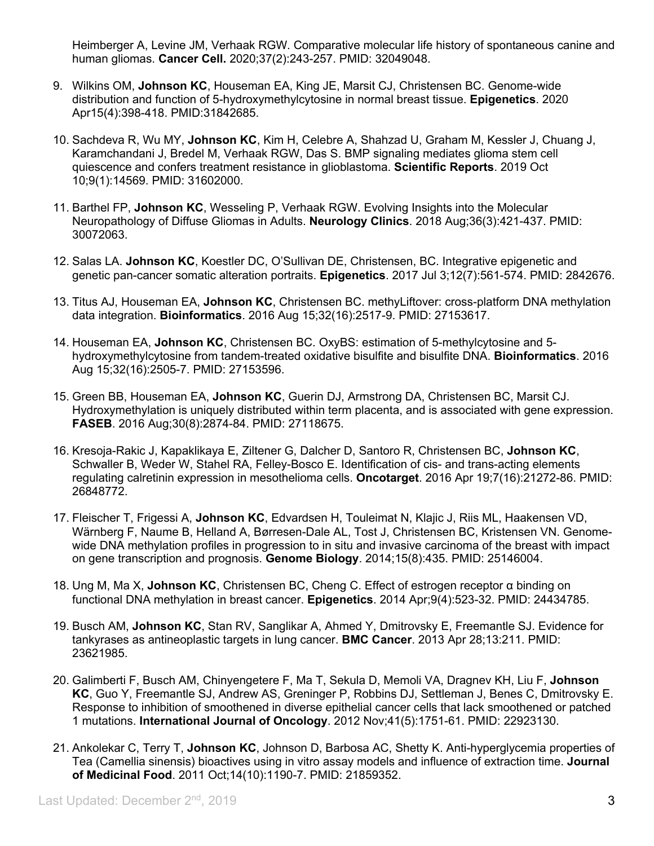Heimberger A, Levine JM, Verhaak RGW. Comparative molecular life history of spontaneous canine and human gliomas. **Cancer Cell.** 2020;37(2):243-257. PMID: 32049048.

- 9. Wilkins OM, **Johnson KC**, Houseman EA, King JE, Marsit CJ, Christensen BC. Genome-wide distribution and function of 5-hydroxymethylcytosine in normal breast tissue. **Epigenetics**. 2020 Apr15(4):398-418. PMID:31842685.
- 10. Sachdeva R, Wu MY, **Johnson KC**, Kim H, Celebre A, Shahzad U, Graham M, Kessler J, Chuang J, Karamchandani J, Bredel M, Verhaak RGW, Das S. BMP signaling mediates glioma stem cell quiescence and confers treatment resistance in glioblastoma. **Scientific Reports**. 2019 Oct 10;9(1):14569. PMID: 31602000.
- 11. Barthel FP, **Johnson KC**, Wesseling P, Verhaak RGW. Evolving Insights into the Molecular Neuropathology of Diffuse Gliomas in Adults. **Neurology Clinics**. 2018 Aug;36(3):421-437. PMID: 30072063.
- 12. Salas LA. **Johnson KC**, Koestler DC, O'Sullivan DE, Christensen, BC. Integrative epigenetic and genetic pan-cancer somatic alteration portraits. **Epigenetics**. 2017 Jul 3;12(7):561-574. PMID: 2842676.
- 13. Titus AJ, Houseman EA, **Johnson KC**, Christensen BC. methyLiftover: cross-platform DNA methylation data integration. **Bioinformatics**. 2016 Aug 15;32(16):2517-9. PMID: 27153617.
- 14. Houseman EA, **Johnson KC**, Christensen BC. OxyBS: estimation of 5-methylcytosine and 5 hydroxymethylcytosine from tandem-treated oxidative bisulfite and bisulfite DNA. **Bioinformatics**. 2016 Aug 15;32(16):2505-7. PMID: 27153596.
- 15. Green BB, Houseman EA, **Johnson KC**, Guerin DJ, Armstrong DA, Christensen BC, Marsit CJ. Hydroxymethylation is uniquely distributed within term placenta, and is associated with gene expression. **FASEB**. 2016 Aug;30(8):2874-84. PMID: 27118675.
- 16. Kresoja-Rakic J, Kapaklikaya E, Ziltener G, Dalcher D, Santoro R, Christensen BC, **Johnson KC**, Schwaller B, Weder W, Stahel RA, Felley-Bosco E. Identification of cis- and trans-acting elements regulating calretinin expression in mesothelioma cells. **Oncotarget**. 2016 Apr 19;7(16):21272-86. PMID: 26848772.
- 17. Fleischer T, Frigessi A, **Johnson KC**, Edvardsen H, Touleimat N, Klajic J, Riis ML, Haakensen VD, Wärnberg F, Naume B, Helland A, Børresen-Dale AL, Tost J, Christensen BC, Kristensen VN. Genomewide DNA methylation profiles in progression to in situ and invasive carcinoma of the breast with impact on gene transcription and prognosis. **Genome Biology**. 2014;15(8):435. PMID: 25146004.
- 18. Ung M, Ma X, **Johnson KC**, Christensen BC, Cheng C. Effect of estrogen receptor α binding on functional DNA methylation in breast cancer. **Epigenetics**. 2014 Apr;9(4):523-32. PMID: 24434785.
- 19. Busch AM, **Johnson KC**, Stan RV, Sanglikar A, Ahmed Y, Dmitrovsky E, Freemantle SJ. Evidence for tankyrases as antineoplastic targets in lung cancer. **BMC Cancer**. 2013 Apr 28;13:211. PMID: 23621985.
- 20. Galimberti F, Busch AM, Chinyengetere F, Ma T, Sekula D, Memoli VA, Dragnev KH, Liu F, **Johnson KC**, Guo Y, Freemantle SJ, Andrew AS, Greninger P, Robbins DJ, Settleman J, Benes C, Dmitrovsky E. Response to inhibition of smoothened in diverse epithelial cancer cells that lack smoothened or patched 1 mutations. **International Journal of Oncology**. 2012 Nov;41(5):1751-61. PMID: 22923130.
- 21. Ankolekar C, Terry T, **Johnson KC**, Johnson D, Barbosa AC, Shetty K. Anti-hyperglycemia properties of Tea (Camellia sinensis) bioactives using in vitro assay models and influence of extraction time. **Journal of Medicinal Food**. 2011 Oct;14(10):1190-7. PMID: 21859352.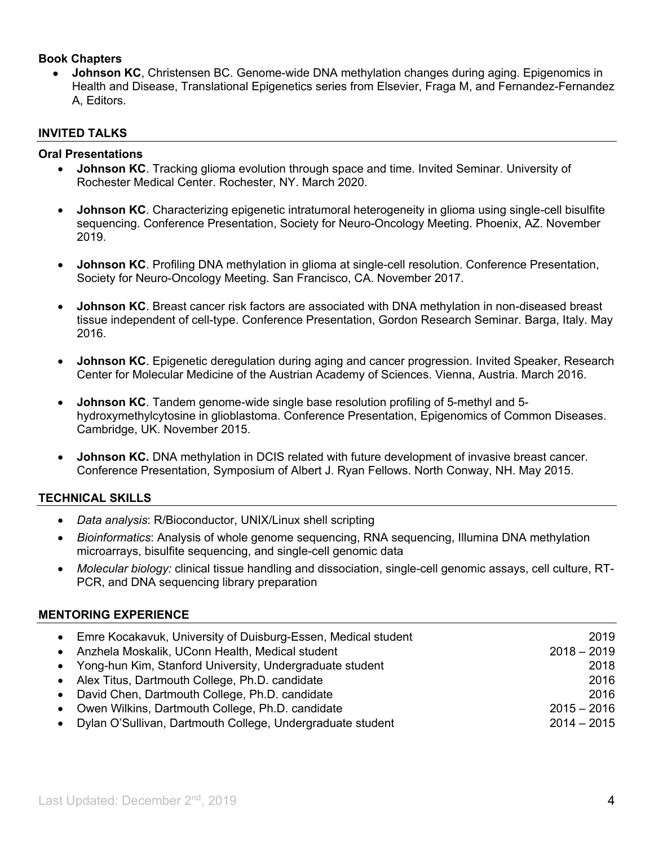#### **Book Chapters**

• **Johnson KC**, Christensen BC. Genome-wide DNA methylation changes during aging. Epigenomics in Health and Disease, Translational Epigenetics series from Elsevier, Fraga M, and Fernandez-Fernandez A, Editors.

#### **INVITED TALKS**

#### **Oral Presentations**

- **Johnson KC**. Tracking glioma evolution through space and time. Invited Seminar. University of Rochester Medical Center. Rochester, NY. March 2020.
- **Johnson KC**. Characterizing epigenetic intratumoral heterogeneity in glioma using single-cell bisulfite sequencing. Conference Presentation, Society for Neuro-Oncology Meeting. Phoenix, AZ. November 2019.
- **Johnson KC**. Profiling DNA methylation in glioma at single-cell resolution. Conference Presentation, Society for Neuro-Oncology Meeting. San Francisco, CA. November 2017.
- **Johnson KC**. Breast cancer risk factors are associated with DNA methylation in non-diseased breast tissue independent of cell-type. Conference Presentation, Gordon Research Seminar. Barga, Italy. May 2016.
- **Johnson KC**. Epigenetic deregulation during aging and cancer progression. Invited Speaker, Research Center for Molecular Medicine of the Austrian Academy of Sciences. Vienna, Austria. March 2016.
- **Johnson KC**. Tandem genome-wide single base resolution profiling of 5-methyl and 5 hydroxymethylcytosine in glioblastoma. Conference Presentation, Epigenomics of Common Diseases. Cambridge, UK. November 2015.
- **Johnson KC.** DNA methylation in DCIS related with future development of invasive breast cancer. Conference Presentation, Symposium of Albert J. Ryan Fellows. North Conway, NH. May 2015.

#### **TECHNICAL SKILLS**

- *Data analysis*: R/Bioconductor, UNIX/Linux shell scripting
- *Bioinformatics*: Analysis of whole genome sequencing, RNA sequencing, Illumina DNA methylation microarrays, bisulfite sequencing, and single-cell genomic data
- *Molecular biology:* clinical tissue handling and dissociation, single-cell genomic assays, cell culture, RT-PCR, and DNA sequencing library preparation

#### **MENTORING EXPERIENCE**

|           | • Emre Kocakavuk, University of Duisburg-Essen, Medical student | 2019          |
|-----------|-----------------------------------------------------------------|---------------|
|           | • Anzhela Moskalik, UConn Health, Medical student               | $2018 - 2019$ |
|           | • Yong-hun Kim, Stanford University, Undergraduate student      | 2018          |
|           | • Alex Titus, Dartmouth College, Ph.D. candidate                | 2016          |
|           | • David Chen, Dartmouth College, Ph.D. candidate                | 2016          |
|           | • Owen Wilkins, Dartmouth College, Ph.D. candidate              | $2015 - 2016$ |
| $\bullet$ | Dylan O'Sullivan, Dartmouth College, Undergraduate student      | $2014 - 2015$ |